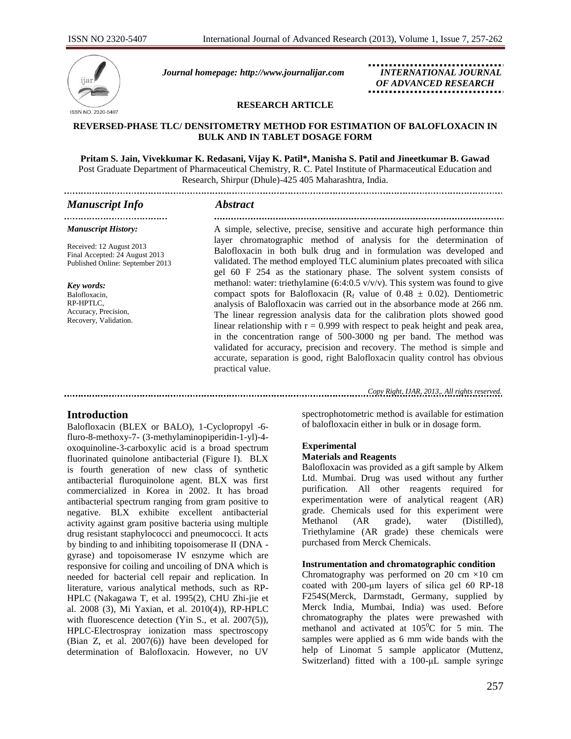

*Journal homepage: [http://www.journalijar.com](http://www.journalijar.com/) INTERNATIONAL JOURNAL*

 *OF ADVANCED RESEARCH*

#### **RESEARCH ARTICLE**

#### **REVERSED-PHASE TLC/ DENSITOMETRY METHOD FOR ESTIMATION OF BALOFLOXACIN IN BULK AND IN TABLET DOSAGE FORM**

**Pritam S. Jain, Vivekkumar K. Redasani, Vijay K. Patil\*, Manisha S. Patil and Jineetkumar B. Gawad** Post Graduate Department of Pharmaceutical Chemistry, R. C. Patel Institute of Pharmaceutical Education and Research, Shirpur (Dhule)-425 405 Maharashtra, India.

# 

# *Manuscript Info Abstract*

...................................

#### *Manuscript History:*

Received: 12 August 2013 Final Accepted: 24 August 2013 Published Online: September 2013

*Key words:*  Balofloxacin, RP-HPTLC, Accuracy, Precision, Recovery, Validation.

A simple, selective, precise, sensitive and accurate high performance thin layer chromatographic method of analysis for the determination of Balofloxacin in both bulk drug and in formulation was developed and validated. The method employed TLC aluminium plates precoated with silica gel 60 F 254 as the stationary phase. The solvent system consists of methanol: water: triethylamine (6:4:0.5 v/v/v). This system was found to give compact spots for Balofloxacin ( $R_f$  value of 0.48  $\pm$  0.02). Dentiometric analysis of Balofloxacin was carried out in the absorbance mode at 266 nm. The linear regression analysis data for the calibration plots showed good linear relationship with  $r = 0.999$  with respect to peak height and peak area, in the concentration range of 500-3000 ng per band. The method was validated for accuracy, precision and recovery. The method is simple and accurate, separation is good, right Balofloxacin quality control has obvious practical value.

*Copy Right, IJAR, 2013,. All rights reserved.*

# **Introduction**

Balofloxacin (BLEX or BALO), 1-Cyclopropyl -6 fluro-8-methoxy-7- (3-methylaminopiperidin-1-yl)-4 oxoquinoline-3-carboxylic acid is a broad spectrum fluorinated quinolone antibacterial (Figure I). BLX is fourth generation of new class of synthetic antibacterial fluroquinolone agent. BLX was first commercialized in Korea in 2002. It has broad antibacterial spectrum ranging from gram positive to negative. BLX exhibite excellent antibacterial activity against gram positive bacteria using multiple drug resistant staphylococci and pneumococci. It acts by binding to and inhibiting topoisomerase II (DNA gyrase) and topoisomerase IV esnzyme which are responsive for coiling and uncoiling of DNA which is needed for bacterial cell repair and replication. In literature, various analytical methods, such as RP-HPLC (Nakagawa T, et al. 1995(2), CHU Zhi-jie et al. 2008 (3), Mi Yaxian, et al. 2010(4)), RP-HPLC with fluorescence detection (Yin S., et al. 2007(5)), HPLC-Electrospray ionization mass spectroscopy (Bian Z, et al. 2007(6)) have been developed for determination of Balofloxacin. However, no UV

spectrophotometric method is available for estimation of balofloxacin either in bulk or in dosage form.

# **Experimental**

#### **Materials and Reagents**

Balofloxacin was provided as a gift sample by Alkem Ltd. Mumbai. Drug was used without any further purification. All other reagents required for experimentation were of analytical reagent (AR) grade. Chemicals used for this experiment were Methanol (AR grade), water (Distilled), Triethylamine (AR grade) these chemicals were purchased from Merck Chemicals.

#### **Instrumentation and chromatographic condition**

Chromatography was performed on 20 cm ×10 cm coated with 200-μm layers of silica gel 60 RP-18 F254S(Merck, Darmstadt, Germany, supplied by Merck India, Mumbai, India) was used. Before chromatography the plates were prewashed with methanol and activated at 105<sup>°</sup>C for 5 min. The samples were applied as 6 mm wide bands with the help of Linomat 5 sample applicator (Muttenz, Switzerland) fitted with a 100-μL sample syringe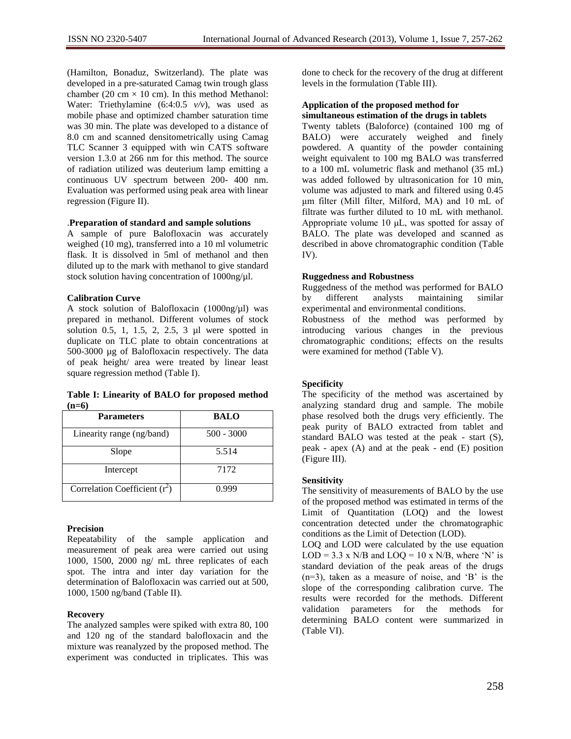(Hamilton, Bonaduz, Switzerland). The plate was developed in a pre-saturated Camag twin trough glass chamber (20 cm  $\times$  10 cm). In this method Methanol: Water: Triethylamine (6:4:0.5 *v/v*), was used as mobile phase and optimized chamber saturation time was 30 min. The plate was developed to a distance of 8.0 cm and scanned densitometrically using Camag TLC Scanner 3 equipped with win CATS software version 1.3.0 at 266 nm for this method. The source of radiation utilized was deuterium lamp emitting a continuous UV spectrum between 200- 400 nm. Evaluation was performed using peak area with linear regression (Figure II).

### .**Preparation of standard and sample solutions**

A sample of pure Balofloxacin was accurately weighed (10 mg), transferred into a 10 ml volumetric flask. It is dissolved in 5ml of methanol and then diluted up to the mark with methanol to give standard stock solution having concentration of 1000ng/µl.

#### **Calibration Curve**

A stock solution of Balofloxacin (1000ng/µl) was prepared in methanol. Different volumes of stock solution 0.5, 1, 1.5, 2, 2.5, 3  $\mu$ l were spotted in duplicate on TLC plate to obtain concentrations at 500-3000 µg of Balofloxacin respectively. The data of peak height/ area were treated by linear least square regression method (Table I).

#### **Table I: Linearity of BALO for proposed method (n=6)**

| <b>Parameters</b>               | <b>BALO</b>  |
|---------------------------------|--------------|
| Linearity range (ng/band)       | $500 - 3000$ |
| Slope                           | 5.514        |
| Intercept                       | 7172         |
| Correlation Coefficient $(r^2)$ | 0.999        |

#### **Precision**

Repeatability of the sample application and measurement of peak area were carried out using 1000, 1500, 2000 ng/ mL three replicates of each spot. The intra and inter day variation for the determination of Balofloxacin was carried out at 500, 1000, 1500 ng/band (Table II).

#### **Recovery**

The analyzed samples were spiked with extra 80, 100 and 120 ng of the standard balofloxacin and the mixture was reanalyzed by the proposed method. The experiment was conducted in triplicates. This was done to check for the recovery of the drug at different levels in the formulation (Table III).

### **Application of the proposed method for simultaneous estimation of the drugs in tablets**

Twenty tablets (Baloforce) (contained 100 mg of BALO) were accurately weighed and finely powdered. A quantity of the powder containing weight equivalent to 100 mg BALO was transferred to a 100 mL volumetric flask and methanol (35 mL) was added followed by ultrasonication for 10 min, volume was adjusted to mark and filtered using 0.45 μm filter (Mill filter, Milford, MA) and 10 mL of filtrate was further diluted to 10 mL with methanol. Appropriate volume 10 μL, was spotted for assay of BALO. The plate was developed and scanned as described in above chromatographic condition (Table IV).

# **Ruggedness and Robustness**

Ruggedness of the method was performed for BALO by different analysts maintaining similar experimental and environmental conditions.

Robustness of the method was performed by introducing various changes in the previous chromatographic conditions; effects on the results were examined for method (Table V).

# **Specificity**

The specificity of the method was ascertained by analyzing standard drug and sample. The mobile phase resolved both the drugs very efficiently. The peak purity of BALO extracted from tablet and standard BALO was tested at the peak - start (S), peak - apex (A) and at the peak - end (E) position (Figure III).

#### **Sensitivity**

The sensitivity of measurements of BALO by the use of the proposed method was estimated in terms of the Limit of Quantitation (LOQ) and the lowest concentration detected under the chromatographic conditions as the Limit of Detection (LOD).

LOQ and LOD were calculated by the use equation  $LOD = 3.3$  x N/B and  $LOQ = 10$  x N/B, where 'N' is standard deviation of the peak areas of the drugs  $(n=3)$ , taken as a measure of noise, and  $B'$  is the slope of the corresponding calibration curve. The results were recorded for the methods. Different validation parameters for the methods for determining BALO content were summarized in (Table VI).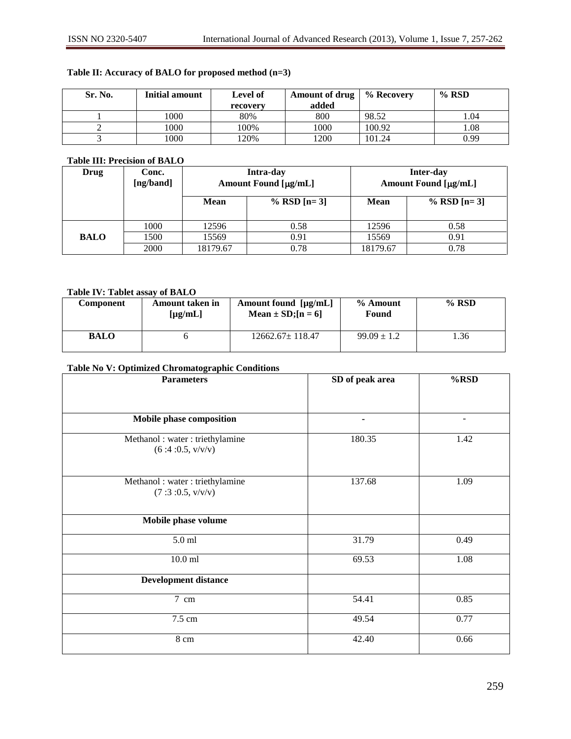# **Table II: Accuracy of BALO for proposed method (n=3)**

| Sr. No. | <b>Initial amount</b> | <b>Level of</b> | Amount of drug | % Recovery | $%$ RSD |
|---------|-----------------------|-----------------|----------------|------------|---------|
|         |                       | recovery        | added          |            |         |
|         | 1000                  | 80%             | 800            | 98.52      | 1.04    |
|         | 1000                  | 100%            | 1000           | 100.92     | 1.08    |
|         | 1000                  | 20%             | 1200           | 101.24     | 0.99    |

# **Table III: Precision of BALO**

| Drug        | Conc.<br>[ng/band] | Intra-day<br>Amount Found [µg/mL] |               |             | Inter-day<br>Amount Found [µg/mL] |
|-------------|--------------------|-----------------------------------|---------------|-------------|-----------------------------------|
|             |                    | <b>Mean</b>                       | % RSD $[n=3]$ | <b>Mean</b> | % RSD $[n=3]$                     |
|             | 1000               | 12596                             | 0.58          | 12596       | 0.58                              |
| <b>BALO</b> | 1500               | 15569                             | 0.91          | 15569       | 0.91                              |
|             | 2000               | 18179.67                          | 0.78          | 18179.67    | 0.78                              |

# **Table IV: Tablet assay of BALO**

| <b>Component</b> | Amount taken in<br>[µg/mL] | Amount found [µg/mL]<br>Mean $\pm$ SD; $[n = 6]$ | % Amount<br>Found | $%$ RSD |
|------------------|----------------------------|--------------------------------------------------|-------------------|---------|
| <b>BALO</b>      |                            | $12662.67 \pm 118.47$                            | $99.09 \pm 1.2$   | 1.36    |

# **Table No V: Optimized Chromatographic Conditions**

| <b>Parameters</b>                                  | SD of peak area | %RSD                     |  |
|----------------------------------------------------|-----------------|--------------------------|--|
|                                                    |                 |                          |  |
| Mobile phase composition                           | ۰               | $\overline{\phantom{0}}$ |  |
| Methanol: water: triethylamine<br>(6:4:0.5, v/v/v) | 180.35          | 1.42                     |  |
| Methanol: water: triethylamine<br>(7:3:0.5, v/v/v) | 137.68          | 1.09                     |  |
| Mobile phase volume                                |                 |                          |  |
| $5.0$ ml                                           | 31.79           | 0.49                     |  |
| $10.0$ ml                                          | 69.53           | 1.08                     |  |
| <b>Development distance</b>                        |                 |                          |  |
| 7 cm                                               | 54.41           | 0.85                     |  |
| 7.5 cm                                             | 49.54           | 0.77                     |  |
| 8 cm                                               | 42.40           | 0.66                     |  |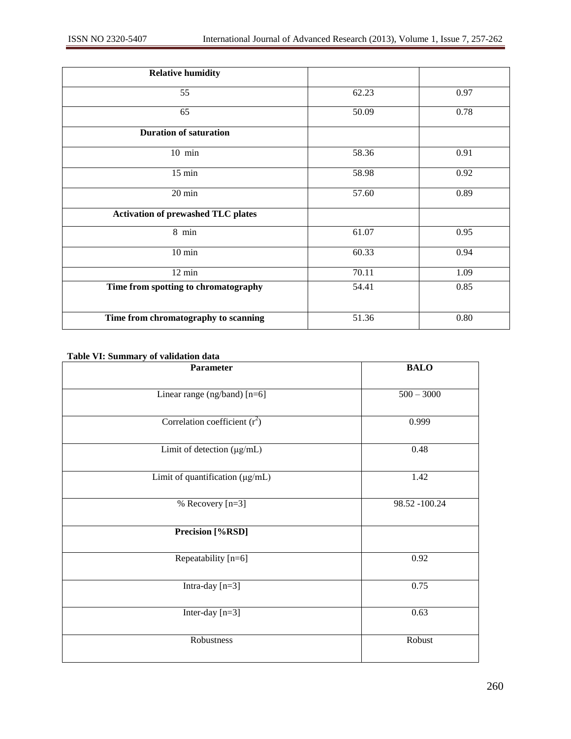| <b>Relative humidity</b>                  |       |      |
|-------------------------------------------|-------|------|
| 55                                        | 62.23 | 0.97 |
| 65                                        | 50.09 | 0.78 |
| <b>Duration of saturation</b>             |       |      |
| $10$ min                                  | 58.36 | 0.91 |
| $15$ min                                  | 58.98 | 0.92 |
| $20 \text{ min}$                          | 57.60 | 0.89 |
| <b>Activation of prewashed TLC plates</b> |       |      |
| $8$ min                                   | 61.07 | 0.95 |
| $10 \text{ min}$                          | 60.33 | 0.94 |
| $12 \text{ min}$                          | 70.11 | 1.09 |
| Time from spotting to chromatography      | 54.41 | 0.85 |
| Time from chromatography to scanning      | 51.36 | 0.80 |

### **Table VI: Summary of validation data**

| Parameter                       | <b>BALO</b>   |
|---------------------------------|---------------|
| Linear range (ng/band) $[n=6]$  | $500 - 3000$  |
| Correlation coefficient $(r^2)$ | 0.999         |
| Limit of detection (µg/mL)      | 0.48          |
| Limit of quantification (µg/mL) | 1.42          |
| % Recovery [n=3]                | 98.52 -100.24 |
| Precision [%RSD]                |               |
| Repeatability [n=6]             | 0.92          |
| Intra-day $[n=3]$               | 0.75          |
| Inter-day [n=3]                 | 0.63          |
| Robustness                      | Robust        |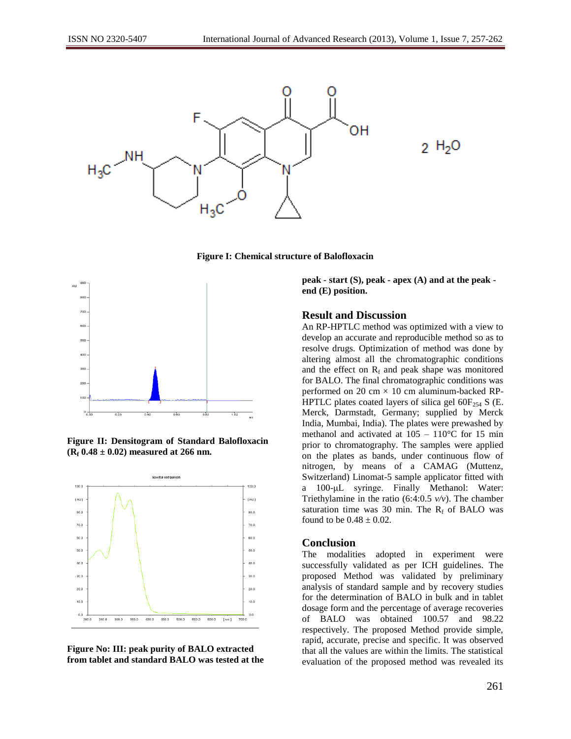

**Figure I: Chemical structure of Balofloxacin**



**Figure II: Densitogram of Standard Balofloxacin (R<sup>f</sup> 0.48 ± 0.02) measured at 266 nm.**



**Figure No: III: peak purity of BALO extracted from tablet and standard BALO was tested at the** 

**peak - start (S), peak - apex (A) and at the peak end (E) position.**

#### **Result and Discussion**

An RP-HPTLC method was optimized with a view to develop an accurate and reproducible method so as to resolve drugs. Optimization of method was done by altering almost all the chromatographic conditions and the effect on  $R_f$  and peak shape was monitored for BALO. The final chromatographic conditions was performed on 20 cm  $\times$  10 cm aluminum-backed RP-HPTLC plates coated layers of silica gel  $60F_{254}$  S (E. Merck, Darmstadt, Germany; supplied by Merck India, Mumbai, India). The plates were prewashed by methanol and activated at  $105 - 110$ °C for 15 min prior to chromatography. The samples were applied on the plates as bands, under continuous flow of nitrogen, by means of a CAMAG (Muttenz, Switzerland) Linomat-5 sample applicator fitted with a 100-μL syringe. Finally Methanol: Water: Triethylamine in the ratio (6:4:0.5 *v/v*). The chamber saturation time was 30 min. The  $R_f$  of BALO was found to be  $0.48 \pm 0.02$ .

#### **Conclusion**

The modalities adopted in experiment were successfully validated as per ICH guidelines. The proposed Method was validated by preliminary analysis of standard sample and by recovery studies for the determination of BALO in bulk and in tablet dosage form and the percentage of average recoveries of BALO was obtained 100.57 and 98.22 respectively. The proposed Method provide simple, rapid, accurate, precise and specific. It was observed that all the values are within the limits. The statistical evaluation of the proposed method was revealed its